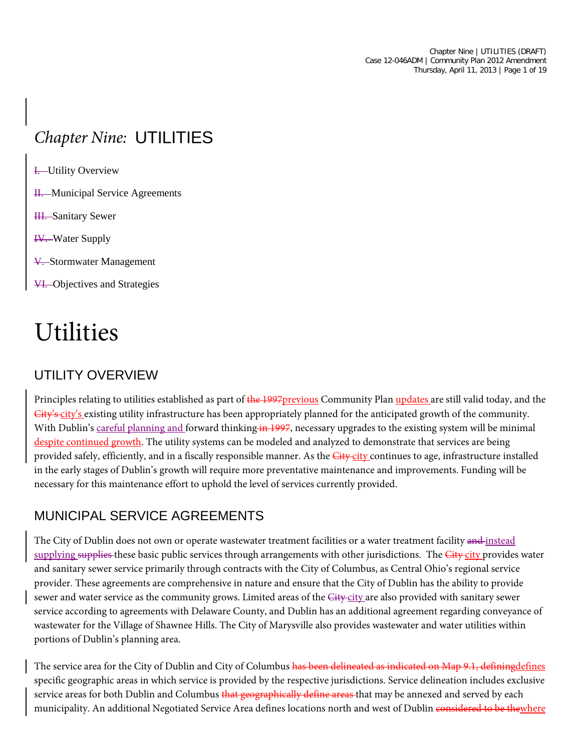Chapter Nine | UTILITIES (DRAFT) Case 12-046ADM | Community Plan 2012 Amendment Thursday, April 11, 2013 | Page 1 of 19

# *Chapter Nine:* UTILITIES

- **I.** Utility Overview
- H. Municipal Service Agreements
- HI. Sanitary Sewer
- IV. Water Supply
- V. Stormwater Management
- VI. Objectives and Strategies

# Utilities

## UTILITY OVERVIEW

Principles relating to utilities established as part of the 1997 previous Community Plan updates are still valid today, and the  $\overline{City's\_city's}$  existing utility infrastructure has been appropriately planned for the anticipated growth of the community. With Dublin's careful planning and forward thinking in 1997, necessary upgrades to the existing system will be minimal despite continued growth. The utility systems can be modeled and analyzed to demonstrate that services are being provided safely, efficiently, and in a fiscally responsible manner. As the *City-city* continues to age, infrastructure installed in the early stages of Dublin's growth will require more preventative maintenance and improvements. Funding will be necessary for this maintenance effort to uphold the level of services currently provided.

## MUNICIPAL SERVICE AGREEMENTS

The City of Dublin does not own or operate wastewater treatment facilities or a water treatment facility and instead supplying supplies these basic public services through arrangements with other jurisdictions. The City city provides water and sanitary sewer service primarily through contracts with the City of Columbus, as Central Ohio's regional service provider. These agreements are comprehensive in nature and ensure that the City of Dublin has the ability to provide sewer and water service as the community grows. Limited areas of the City-city are also provided with sanitary sewer service according to agreements with Delaware County, and Dublin has an additional agreement regarding conveyance of wastewater for the Village of Shawnee Hills. The City of Marysville also provides wastewater and water utilities within portions of Dublin's planning area.

The service area for the City of Dublin and City of Columbus has been delineated as indicated on Map 9.1, definingdefines specific geographic areas in which service is provided by the respective jurisdictions. Service delineation includes exclusive service areas for both Dublin and Columbus that geographically define areas that may be annexed and served by each municipality. An additional Negotiated Service Area defines locations north and west of Dublin considered to be thewhere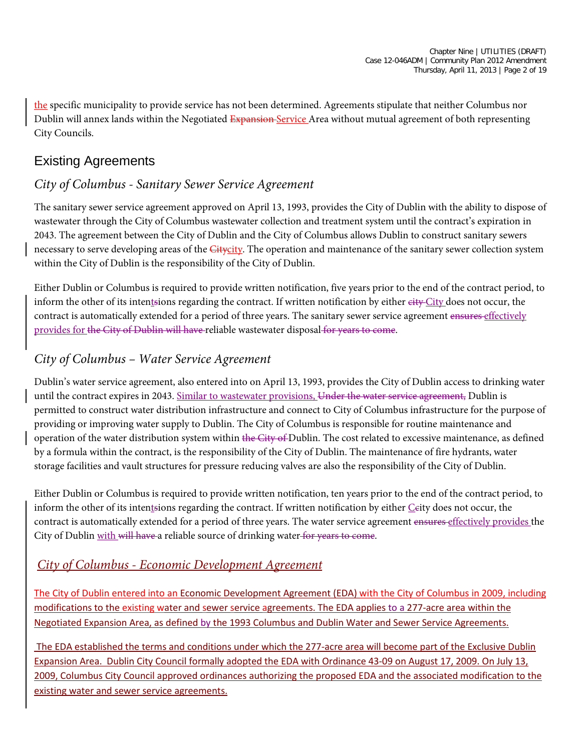the specific municipality to provide service has not been determined. Agreements stipulate that neither Columbus nor Dublin will annex lands within the Negotiated Expansion Service Area without mutual agreement of both representing City Councils.

# Existing Agreements

#### *City of Columbus - Sanitary Sewer Service Agreement*

The sanitary sewer service agreement approved on April 13, 1993, provides the City of Dublin with the ability to dispose of wastewater through the City of Columbus wastewater collection and treatment system until the contract's expiration in 2043. The agreement between the City of Dublin and the City of Columbus allows Dublin to construct sanitary sewers necessary to serve developing areas of the *Citycity*. The operation and maintenance of the sanitary sewer collection system within the City of Dublin is the responsibility of the City of Dublin.

Either Dublin or Columbus is required to provide written notification, five years prior to the end of the contract period, to inform the other of its intentsions regarding the contract. If written notification by either eity City does not occur, the contract is automatically extended for a period of three years. The sanitary sewer service agreement ensures effectively provides for the City of Dublin will have reliable wastewater disposal for years to come.

## *City of Columbus – Water Service Agreement*

Dublin's water service agreement, also entered into on April 13, 1993, provides the City of Dublin access to drinking water until the contract expires in 2043. Similar to wastewater provisions, Under the water service agreement, Dublin is permitted to construct water distribution infrastructure and connect to City of Columbus infrastructure for the purpose of providing or improving water supply to Dublin. The City of Columbus is responsible for routine maintenance and operation of the water distribution system within the City of Dublin. The cost related to excessive maintenance, as defined by a formula within the contract, is the responsibility of the City of Dublin. The maintenance of fire hydrants, water storage facilities and vault structures for pressure reducing valves are also the responsibility of the City of Dublin.

Either Dublin or Columbus is required to provide written notification, ten years prior to the end of the contract period, to inform the other of its intentsions regarding the contract. If written notification by either  $C$ eity does not occur, the contract is automatically extended for a period of three years. The water service agreement ensures effectively provides the City of Dublin with will have a reliable source of drinking water for years to come.

#### *City of Columbus - Economic Development Agreement*

The City of Dublin entered into an Economic Development Agreement (EDA) with the City of Columbus in 2009, including modifications to the existing water and sewer service agreements. The EDA applies to a 277-acre area within the Negotiated Expansion Area, as defined by the 1993 Columbus and Dublin Water and Sewer Service Agreements.

The EDA established the terms and conditions under which the 277-acre area will become part of the Exclusive Dublin Expansion Area. Dublin City Council formally adopted the EDA with Ordinance 43-09 on August 17, 2009. On July 13, 2009, Columbus City Council approved ordinances authorizing the proposed EDA and the associated modification to the existing water and sewer service agreements.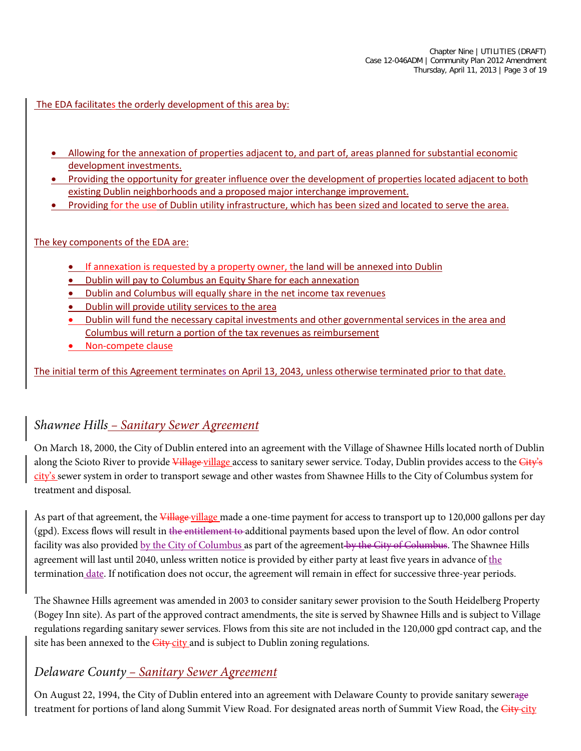The EDA facilitates the orderly development of this area by:

- Allowing for the annexation of properties adjacent to, and part of, areas planned for substantial economic development investments.
- Providing the opportunity for greater influence over the development of properties located adjacent to both existing Dublin neighborhoods and a proposed major interchange improvement.
- Providing for the use of Dublin utility infrastructure, which has been sized and located to serve the area.

#### The key components of the EDA are:

- If annexation is requested by a property owner, the land will be annexed into Dublin
- Dublin will pay to Columbus an Equity Share for each annexation
- Dublin and Columbus will equally share in the net income tax revenues
- Dublin will provide utility services to the area
- Dublin will fund the necessary capital investments and other governmental services in the area and Columbus will return a portion of the tax revenues as reimbursement
- Non-compete clause

The initial term of this Agreement terminates on April 13, 2043, unless otherwise terminated prior to that date.

#### *Shawnee Hills – Sanitary Sewer Agreement*

On March 18, 2000, the City of Dublin entered into an agreement with the Village of Shawnee Hills located north of Dublin along the Scioto River to provide Village village access to sanitary sewer service. Today, Dublin provides access to the City's city's sewer system in order to transport sewage and other wastes from Shawnee Hills to the City of Columbus system for treatment and disposal.

As part of that agreement, the Village village made a one-time payment for access to transport up to 120,000 gallons per day (gpd). Excess flows will result in the entitlement to additional payments based upon the level of flow. An odor control facility was also provided by the City of Columbus as part of the agreement by the City of Columbus. The Shawnee Hills agreement will last until 2040, unless written notice is provided by either party at least five years in advance of the termination date. If notification does not occur, the agreement will remain in effect for successive three-year periods.

The Shawnee Hills agreement was amended in 2003 to consider sanitary sewer provision to the South Heidelberg Property (Bogey Inn site). As part of the approved contract amendments, the site is served by Shawnee Hills and is subject to Village regulations regarding sanitary sewer services. Flows from this site are not included in the 120,000 gpd contract cap, and the site has been annexed to the *City-city* and is subject to Dublin zoning regulations.

#### *Delaware County – Sanitary Sewer Agreement*

On August 22, 1994, the City of Dublin entered into an agreement with Delaware County to provide sanitary sewerage treatment for portions of land along Summit View Road. For designated areas north of Summit View Road, the *City-city*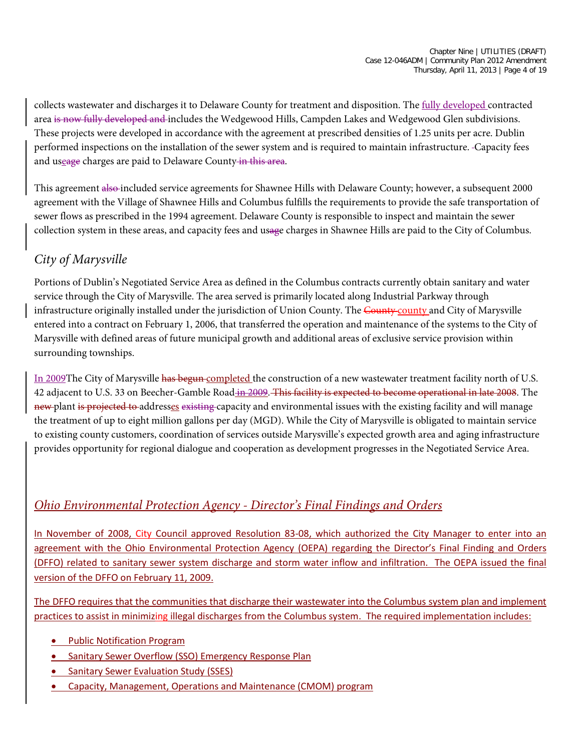collects wastewater and discharges it to Delaware County for treatment and disposition. The fully developed contracted area is now fully developed and includes the Wedgewood Hills, Campden Lakes and Wedgewood Glen subdivisions. These projects were developed in accordance with the agreement at prescribed densities of 1.25 units per acre. Dublin performed inspections on the installation of the sewer system and is required to maintain infrastructure. Capacity fees and useage charges are paid to Delaware County in this area.

This agreement also included service agreements for Shawnee Hills with Delaware County; however, a subsequent 2000 agreement with the Village of Shawnee Hills and Columbus fulfills the requirements to provide the safe transportation of sewer flows as prescribed in the 1994 agreement. Delaware County is responsible to inspect and maintain the sewer collection system in these areas, and capacity fees and usage charges in Shawnee Hills are paid to the City of Columbus.

## *City of Marysville*

Portions of Dublin's Negotiated Service Area as defined in the Columbus contracts currently obtain sanitary and water service through the City of Marysville. The area served is primarily located along Industrial Parkway through infrastructure originally installed under the jurisdiction of Union County. The County county and City of Marysville entered into a contract on February 1, 2006, that transferred the operation and maintenance of the systems to the City of Marysville with defined areas of future municipal growth and additional areas of exclusive service provision within surrounding townships.

In 2009The City of Marysville has begun completed the construction of a new wastewater treatment facility north of U.S. 42 adjacent to U.S. 33 on Beecher-Gamble Road in 2009. This facility is expected to become operational in late 2008. The new plant is projected to addresses existing capacity and environmental issues with the existing facility and will manage the treatment of up to eight million gallons per day (MGD). While the City of Marysville is obligated to maintain service to existing county customers, coordination of services outside Marysville's expected growth area and aging infrastructure provides opportunity for regional dialogue and cooperation as development progresses in the Negotiated Service Area.

## *Ohio Environmental Protection Agency - Director's Final Findings and Orders*

In November of 2008, City Council approved Resolution 83-08, which authorized the City Manager to enter into an agreement with the Ohio Environmental Protection Agency (OEPA) regarding the Director's Final Finding and Orders (DFFO) related to sanitary sewer system discharge and storm water inflow and infiltration. The OEPA issued the final version of the DFFO on February 11, 2009.

The DFFO requires that the communities that discharge their wastewater into the Columbus system plan and implement practices to assist in minimizing illegal discharges from the Columbus system. The required implementation includes:

- Public Notification Program
- Sanitary Sewer Overflow (SSO) Emergency Response Plan
- Sanitary Sewer Evaluation Study (SSES)
- Capacity, Management, Operations and Maintenance (CMOM) program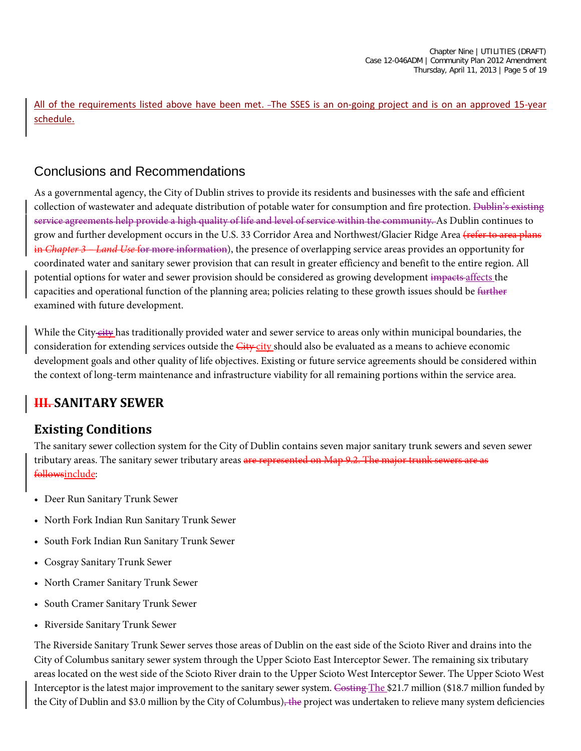All of the requirements listed above have been met. The SSES is an on-going project and is on an approved 15-year schedule.

## Conclusions and Recommendations

As a governmental agency, the City of Dublin strives to provide its residents and businesses with the safe and efficient collection of wastewater and adequate distribution of potable water for consumption and fire protection. Dublin's existing service agreements help provide a high quality of life and level of service within the community. As Dublin continues to grow and further development occurs in the U.S. 33 Corridor Area and Northwest/Glacier Ridge Area (refer to area plans in *Chapter 3 – Land Use* for more information), the presence of overlapping service areas provides an opportunity for coordinated water and sanitary sewer provision that can result in greater efficiency and benefit to the entire region. All potential options for water and sewer provision should be considered as growing development impacts affects the capacities and operational function of the planning area; policies relating to these growth issues should be further examined with future development.

While the City-city has traditionally provided water and sewer service to areas only within municipal boundaries, the consideration for extending services outside the *City-city* should also be evaluated as a means to achieve economic development goals and other quality of life objectives. Existing or future service agreements should be considered within the context of long-term maintenance and infrastructure viability for all remaining portions within the service area.

# **III. SANITARY SEWER**

## **Existing Conditions**

The sanitary sewer collection system for the City of Dublin contains seven major sanitary trunk sewers and seven sewer tributary areas. The sanitary sewer tributary areas are represented on Map 9.2. The major trunk sewers are as followsinclude:

- Deer Run Sanitary Trunk Sewer
- North Fork Indian Run Sanitary Trunk Sewer
- South Fork Indian Run Sanitary Trunk Sewer
- Cosgray Sanitary Trunk Sewer
- North Cramer Sanitary Trunk Sewer
- South Cramer Sanitary Trunk Sewer
- Riverside Sanitary Trunk Sewer

The Riverside Sanitary Trunk Sewer serves those areas of Dublin on the east side of the Scioto River and drains into the City of Columbus sanitary sewer system through the Upper Scioto East Interceptor Sewer. The remaining six tributary areas located on the west side of the Scioto River drain to the Upper Scioto West Interceptor Sewer. The Upper Scioto West Interceptor is the latest major improvement to the sanitary sewer system. Costing The \$21.7 million (\$18.7 million funded by the City of Dublin and \$3.0 million by the City of Columbus)<del>, the</del> project was undertaken to relieve many system deficiencies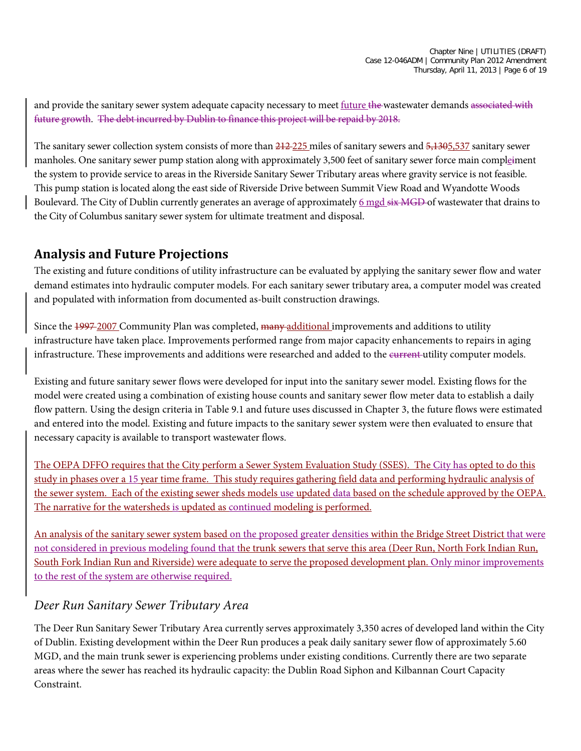and provide the sanitary sewer system adequate capacity necessary to meet future the wastewater demands associated with future growth. The debt incurred by Dublin to finance this project will be repaid by 2018.

The sanitary sewer collection system consists of more than  $212-225$  miles of sanitary sewers and  $5,1305,537$  sanitary sewer manholes. One sanitary sewer pump station along with approximately 3,500 feet of sanitary sewer force main compleiment the system to provide service to areas in the Riverside Sanitary Sewer Tributary areas where gravity service is not feasible. This pump station is located along the east side of Riverside Drive between Summit View Road and Wyandotte Woods Boulevard. The City of Dublin currently generates an average of approximately 6 mgd six MGD of wastewater that drains to the City of Columbus sanitary sewer system for ultimate treatment and disposal.

#### **Analysis and Future Projections**

The existing and future conditions of utility infrastructure can be evaluated by applying the sanitary sewer flow and water demand estimates into hydraulic computer models. For each sanitary sewer tributary area, a computer model was created and populated with information from documented as-built construction drawings.

Since the 1997-2007 Community Plan was completed, many additional improvements and additions to utility infrastructure have taken place. Improvements performed range from major capacity enhancements to repairs in aging infrastructure. These improvements and additions were researched and added to the current-utility computer models.

Existing and future sanitary sewer flows were developed for input into the sanitary sewer model. Existing flows for the model were created using a combination of existing house counts and sanitary sewer flow meter data to establish a daily flow pattern. Using the design criteria in Table 9.1 and future uses discussed in Chapter 3, the future flows were estimated and entered into the model. Existing and future impacts to the sanitary sewer system were then evaluated to ensure that necessary capacity is available to transport wastewater flows.

The OEPA DFFO requires that the City perform a Sewer System Evaluation Study (SSES). The City has opted to do this study in phases over a 15 year time frame. This study requires gathering field data and performing hydraulic analysis of the sewer system. Each of the existing sewer sheds models use updated data based on the schedule approved by the OEPA. The narrative for the watersheds is updated as continued modeling is performed.

An analysis of the sanitary sewer system based on the proposed greater densities within the Bridge Street District that were not considered in previous modeling found that the trunk sewers that serve this area (Deer Run, North Fork Indian Run, South Fork Indian Run and Riverside) were adequate to serve the proposed development plan. Only minor improvements to the rest of the system are otherwise required.

#### *Deer Run Sanitary Sewer Tributary Area*

The Deer Run Sanitary Sewer Tributary Area currently serves approximately 3,350 acres of developed land within the City of Dublin. Existing development within the Deer Run produces a peak daily sanitary sewer flow of approximately 5.60 MGD, and the main trunk sewer is experiencing problems under existing conditions. Currently there are two separate areas where the sewer has reached its hydraulic capacity: the Dublin Road Siphon and Kilbannan Court Capacity Constraint.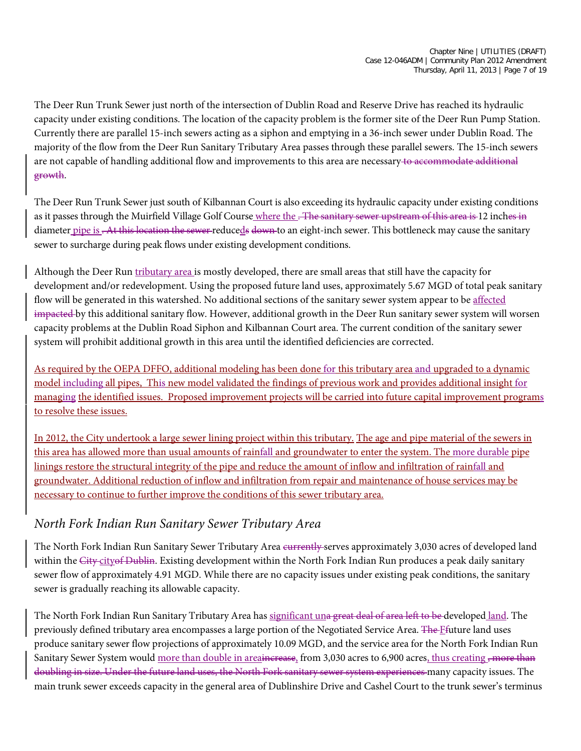The Deer Run Trunk Sewer just north of the intersection of Dublin Road and Reserve Drive has reached its hydraulic capacity under existing conditions. The location of the capacity problem is the former site of the Deer Run Pump Station. Currently there are parallel 15-inch sewers acting as a siphon and emptying in a 36-inch sewer under Dublin Road. The majority of the flow from the Deer Run Sanitary Tributary Area passes through these parallel sewers. The 15-inch sewers are not capable of handling additional flow and improvements to this area are necessary to accommodate additional growth.

The Deer Run Trunk Sewer just south of Kilbannan Court is also exceeding its hydraulic capacity under existing conditions as it passes through the Muirfield Village Golf Course where the . The sanitary sewer upstream of this area is 12 inches in diameter pipe is . At this location the sewer-reduceds down to an eight-inch sewer. This bottleneck may cause the sanitary sewer to surcharge during peak flows under existing development conditions.

Although the Deer Run tributary area is mostly developed, there are small areas that still have the capacity for development and/or redevelopment. Using the proposed future land uses, approximately 5.67 MGD of total peak sanitary flow will be generated in this watershed. No additional sections of the sanitary sewer system appear to be affected impacted by this additional sanitary flow. However, additional growth in the Deer Run sanitary sewer system will worsen capacity problems at the Dublin Road Siphon and Kilbannan Court area. The current condition of the sanitary sewer system will prohibit additional growth in this area until the identified deficiencies are corrected.

As required by the OEPA DFFO, additional modeling has been done for this tributary area and upgraded to a dynamic model including all pipes, This new model validated the findings of previous work and provides additional insight for managing the identified issues. Proposed improvement projects will be carried into future capital improvement programs to resolve these issues.

In 2012, the City undertook a large sewer lining project within this tributary. The age and pipe material of the sewers in this area has allowed more than usual amounts of rainfall and groundwater to enter the system. The more durable pipe linings restore the structural integrity of the pipe and reduce the amount of inflow and infiltration of rainfall and groundwater. Additional reduction of inflow and infiltration from repair and maintenance of house services may be necessary to continue to further improve the conditions of this sewer tributary area.

#### *North Fork Indian Run Sanitary Sewer Tributary Area*

The North Fork Indian Run Sanitary Sewer Tributary Area eurrently-serves approximately 3,030 acres of developed land within the City-city of Dublin. Existing development within the North Fork Indian Run produces a peak daily sanitary sewer flow of approximately 4.91 MGD. While there are no capacity issues under existing peak conditions, the sanitary sewer is gradually reaching its allowable capacity.

The North Fork Indian Run Sanitary Tributary Area has significant una great deal of area left to be developed land. The previously defined tributary area encompasses a large portion of the Negotiated Service Area. The Ffuture land uses produce sanitary sewer flow projections of approximately 10.09 MGD, and the service area for the North Fork Indian Run Sanitary Sewer System would more than double in area<del>increase</del>, from 3,030 acres to 6,900 acres, thus creating <del>, more than</del> doubling in size. Under the future land uses, the North Fork sanitary sewer system experiences many capacity issues. The main trunk sewer exceeds capacity in the general area of Dublinshire Drive and Cashel Court to the trunk sewer's terminus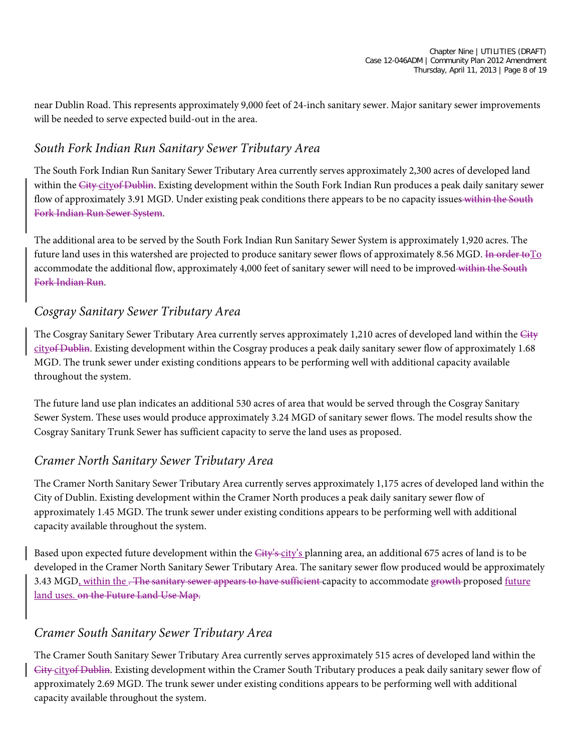near Dublin Road. This represents approximately 9,000 feet of 24-inch sanitary sewer. Major sanitary sewer improvements will be needed to serve expected build-out in the area.

#### *South Fork Indian Run Sanitary Sewer Tributary Area*

The South Fork Indian Run Sanitary Sewer Tributary Area currently serves approximately 2,300 acres of developed land within the City-city of Dublin. Existing development within the South Fork Indian Run produces a peak daily sanitary sewer flow of approximately 3.91 MGD. Under existing peak conditions there appears to be no capacity issues within the South Fork Indian Run Sewer System.

The additional area to be served by the South Fork Indian Run Sanitary Sewer System is approximately 1,920 acres. The future land uses in this watershed are projected to produce sanitary sewer flows of approximately 8.56 MGD. In order to  $\Gamma$ <sup>o</sup> accommodate the additional flow, approximately 4,000 feet of sanitary sewer will need to be improved-within the South Fork Indian Run.

#### *Cosgray Sanitary Sewer Tributary Area*

The Cosgray Sanitary Sewer Tributary Area currently serves approximately 1,210 acres of developed land within the City cityof Dublin. Existing development within the Cosgray produces a peak daily sanitary sewer flow of approximately 1.68 MGD. The trunk sewer under existing conditions appears to be performing well with additional capacity available throughout the system.

The future land use plan indicates an additional 530 acres of area that would be served through the Cosgray Sanitary Sewer System. These uses would produce approximately 3.24 MGD of sanitary sewer flows. The model results show the Cosgray Sanitary Trunk Sewer has sufficient capacity to serve the land uses as proposed.

#### *Cramer North Sanitary Sewer Tributary Area*

The Cramer North Sanitary Sewer Tributary Area currently serves approximately 1,175 acres of developed land within the City of Dublin. Existing development within the Cramer North produces a peak daily sanitary sewer flow of approximately 1.45 MGD. The trunk sewer under existing conditions appears to be performing well with additional capacity available throughout the system.

Based upon expected future development within the City's city's planning area, an additional 675 acres of land is to be developed in the Cramer North Sanitary Sewer Tributary Area. The sanitary sewer flow produced would be approximately 3.43 MGD, within the . The sanitary sewer appears to have sufficient capacity to accommodate growth proposed future land uses. on the Future Land Use Map.

#### *Cramer South Sanitary Sewer Tributary Area*

The Cramer South Sanitary Sewer Tributary Area currently serves approximately 515 acres of developed land within the City cityof Dublin. Existing development within the Cramer South Tributary produces a peak daily sanitary sewer flow of approximately 2.69 MGD. The trunk sewer under existing conditions appears to be performing well with additional capacity available throughout the system.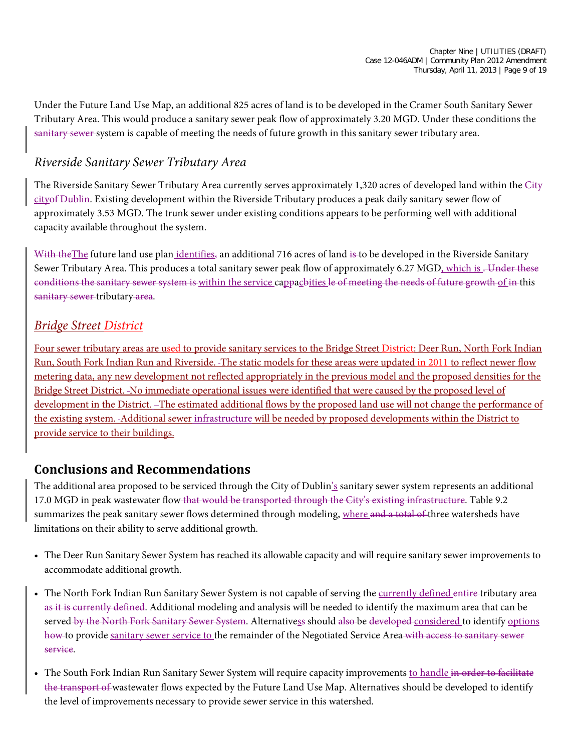Under the Future Land Use Map, an additional 825 acres of land is to be developed in the Cramer South Sanitary Sewer Tributary Area. This would produce a sanitary sewer peak flow of approximately 3.20 MGD. Under these conditions the sanitary sewer system is capable of meeting the needs of future growth in this sanitary sewer tributary area.

#### *Riverside Sanitary Sewer Tributary Area*

The Riverside Sanitary Sewer Tributary Area currently serves approximately 1,320 acres of developed land within the City cityof Dublin. Existing development within the Riverside Tributary produces a peak daily sanitary sewer flow of approximately 3.53 MGD. The trunk sewer under existing conditions appears to be performing well with additional capacity available throughout the system.

With the The future land use plan *identifies*, an additional 716 acres of land is to be developed in the Riverside Sanitary Sewer Tributary Area. This produces a total sanitary sewer peak flow of approximately 6.27 MGD, which is . Under these conditions the sanitary sewer system is within the service cappacbities le of meeting the needs of future growth of in this sanitary sewer-tributary area.

#### *Bridge Street District*

Four sewer tributary areas are used to provide sanitary services to the Bridge Street District: Deer Run, North Fork Indian Run, South Fork Indian Run and Riverside. The static models for these areas were updated in 2011 to reflect newer flow metering data, any new development not reflected appropriately in the previous model and the proposed densities for the Bridge Street District. No immediate operational issues were identified that were caused by the proposed level of development in the District. -The estimated additional flows by the proposed land use will not change the performance of the existing system. Additional sewer infrastructure will be needed by proposed developments within the District to provide service to their buildings.

#### **Conclusions and Recommendations**

The additional area proposed to be serviced through the City of Dublin's sanitary sewer system represents an additional 17.0 MGD in peak wastewater flow that would be transported through the City's existing infrastructure. Table 9.2 summarizes the peak sanitary sewer flows determined through modeling, where and a total of three watersheds have limitations on their ability to serve additional growth.

- The Deer Run Sanitary Sewer System has reached its allowable capacity and will require sanitary sewer improvements to accommodate additional growth.
- The North Fork Indian Run Sanitary Sewer System is not capable of serving the currently defined entire-tributary area as it is currently defined. Additional modeling and analysis will be needed to identify the maximum area that can be served by the North Fork Sanitary Sewer System. Alternativess should also be developed considered to identify options how to provide sanitary sewer service to the remainder of the Negotiated Service Area with access to sanitary sewer service.
- The South Fork Indian Run Sanitary Sewer System will require capacity improvements to handle in order to facilitate the transport of wastewater flows expected by the Future Land Use Map. Alternatives should be developed to identify the level of improvements necessary to provide sewer service in this watershed.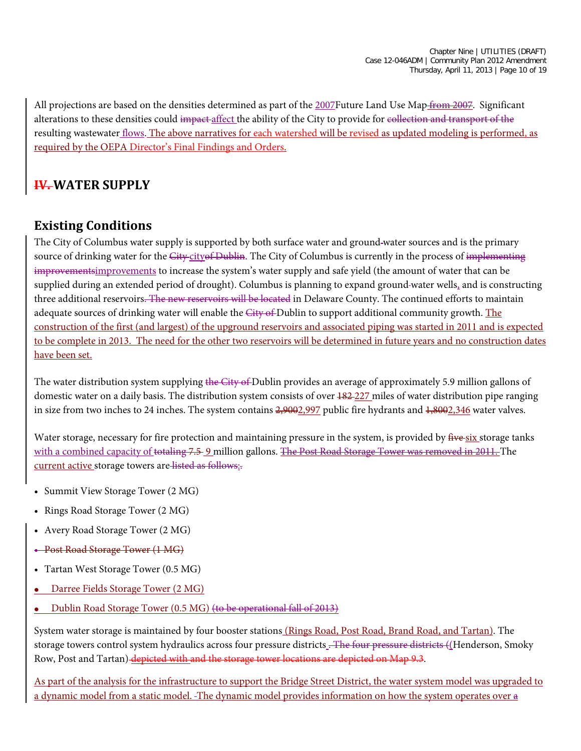All projections are based on the densities determined as part of the 2007Future Land Use Map from 2007. Significant alterations to these densities could impact affect the ability of the City to provide for collection and transport of the resulting wastewater flows. The above narratives for each watershed will be revised as updated modeling is performed, as required by the OEPA Director's Final Findings and Orders.

# **IV. WATER SUPPLY**

## **Existing Conditions**

The City of Columbus water supply is supported by both surface water and ground water sources and is the primary source of drinking water for the City-cityof Dublin. The City of Columbus is currently in the process of implementing improvementsimprovements to increase the system's water supply and safe yield (the amount of water that can be supplied during an extended period of drought). Columbus is planning to expand ground-water wells, and is constructing three additional reservoirs. The new reservoirs will be located in Delaware County. The continued efforts to maintain adequate sources of drinking water will enable the City of Dublin to support additional community growth. The construction of the first (and largest) of the upground reservoirs and associated piping was started in 2011 and is expected to be complete in 2013. The need for the other two reservoirs will be determined in future years and no construction dates have been set.

The water distribution system supplying the City of Dublin provides an average of approximately 5.9 million gallons of domestic water on a daily basis. The distribution system consists of over  $\frac{182-227}{182}$  miles of water distribution pipe ranging in size from two inches to 24 inches. The system contains  $2,9002,997$  public fire hydrants and  $1,8002,346$  water valves.

Water storage, necessary for fire protection and maintaining pressure in the system, is provided by five six storage tanks with a combined capacity of totaling 7.5-9 million gallons. The Post Road Storage Tower was removed in 2011. The current active storage towers are listed as follows:

- Summit View Storage Tower (2 MG)
- Rings Road Storage Tower (2 MG)
- Avery Road Storage Tower (2 MG)
- Post Road Storage Tower (1 MG)
- Tartan West Storage Tower (0.5 MG)
- Darree Fields Storage Tower (2 MG)
- Dublin Road Storage Tower (0.5 MG) (to be operational fall of 2013)

System water storage is maintained by four booster stations (Rings Road, Post Road, Brand Road, and Tartan). The storage towers control system hydraulics across four pressure districts . The four pressure districts ((Henderson, Smoky Row, Post and Tartan) depicted with and the storage tower locations are depicted on Map 9.3.

As part of the analysis for the infrastructure to support the Bridge Street District, the water system model was upgraded to a dynamic model from a static model. The dynamic model provides information on how the system operates over a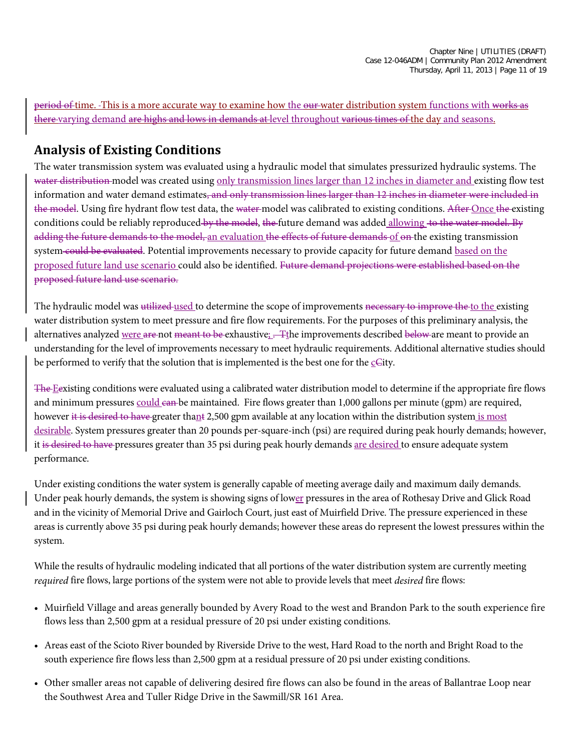period of time. This is a more accurate way to examine how the our-water distribution system functions with works as there varying demand are highs and lows in demands at level throughout various times of the day and seasons.

## **Analysis of Existing Conditions**

The water transmission system was evaluated using a hydraulic model that simulates pressurized hydraulic systems. The water distribution model was created using only transmission lines larger than 12 inches in diameter and existing flow test information and water demand estimates<del>, and only transmission lines larger than 12 inches in diameter were included in</del> the model. Using fire hydrant flow test data, the water-model was calibrated to existing conditions. After Once the existing conditions could be reliably reproduced by the model, the future demand was added allowing to the water model. By adding the future demands to the model, an evaluation the effects of future demands of on the existing transmission system could be evaluated. Potential improvements necessary to provide capacity for future demand based on the proposed future land use scenario could also be identified. Future demand projections were established based on the proposed future land use scenario.

The hydraulic model was utilized-used to determine the scope of improvements necessary to improve the to the existing water distribution system to meet pressure and fire flow requirements. For the purposes of this preliminary analysis, the alternatives analyzed were are not meant to be exhaustive; . The improvements described below are meant to provide an understanding for the level of improvements necessary to meet hydraulic requirements. Additional alternative studies should be performed to verify that the solution that is implemented is the best one for the  $\subseteq$  Gity.

The Eexisting conditions were evaluated using a calibrated water distribution model to determine if the appropriate fire flows and minimum pressures could can be maintained. Fire flows greater than 1,000 gallons per minute (gpm) are required, however it is desired to have greater thant 2,500 gpm available at any location within the distribution system is most desirable. System pressures greater than 20 pounds per-square-inch (psi) are required during peak hourly demands; however, it is desired to have pressures greater than 35 psi during peak hourly demands <u>are desired</u> to ensure adequate system performance.

Under existing conditions the water system is generally capable of meeting average daily and maximum daily demands. Under peak hourly demands, the system is showing signs of lower pressures in the area of Rothesay Drive and Glick Road and in the vicinity of Memorial Drive and Gairloch Court, just east of Muirfield Drive. The pressure experienced in these areas is currently above 35 psi during peak hourly demands; however these areas do represent the lowest pressures within the system.

While the results of hydraulic modeling indicated that all portions of the water distribution system are currently meeting *required* fire flows, large portions of the system were not able to provide levels that meet *desired* fire flows:

- Muirfield Village and areas generally bounded by Avery Road to the west and Brandon Park to the south experience fire flows less than 2,500 gpm at a residual pressure of 20 psi under existing conditions.
- Areas east of the Scioto River bounded by Riverside Drive to the west, Hard Road to the north and Bright Road to the south experience fire flows less than 2,500 gpm at a residual pressure of 20 psi under existing conditions.
- Other smaller areas not capable of delivering desired fire flows can also be found in the areas of Ballantrae Loop near the Southwest Area and Tuller Ridge Drive in the Sawmill/SR 161 Area.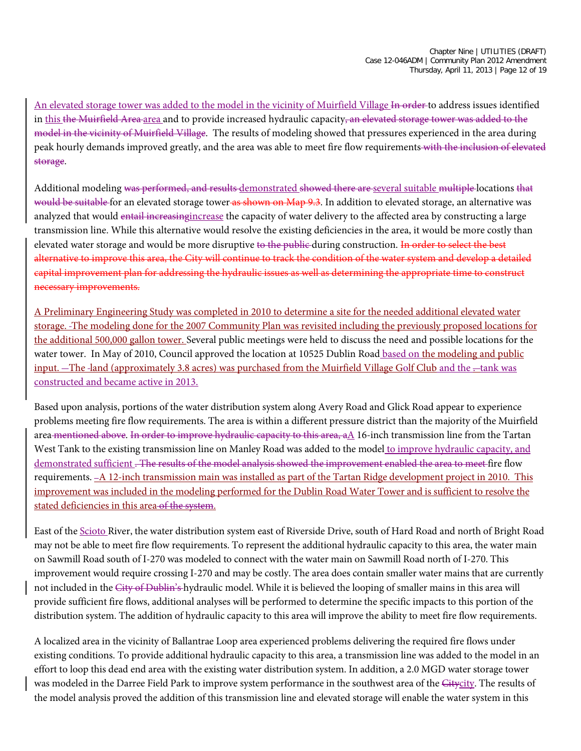An elevated storage tower was added to the model in the vicinity of Muirfield Village In order to address issues identified in this the Muirfield Area area and to provide increased hydraulic capacity, an elevated storage tower was added to the model in the vicinity of Muirfield Village. The results of modeling showed that pressures experienced in the area during peak hourly demands improved greatly, and the area was able to meet fire flow requirements with the inclusion of elevated storage.

Additional modeling was performed, and results demonstrated showed there are several suitable multiple locations that would be suitable for an elevated storage tower as shown on Map 9.3. In addition to elevated storage, an alternative was analyzed that would entail increasing increase the capacity of water delivery to the affected area by constructing a large transmission line. While this alternative would resolve the existing deficiencies in the area, it would be more costly than elevated water storage and would be more disruptive to the public during construction. In order to select the best alternative to improve this area, the City will continue to track the condition of the water system and develop a detailed capital improvement plan for addressing the hydraulic issues as well as determining the appropriate time to construct necessary improvements.

A Preliminary Engineering Study was completed in 2010 to determine a site for the needed additional elevated water storage. The modeling done for the 2007 Community Plan was revisited including the previously proposed locations for the additional 500,000 gallon tower. Several public meetings were held to discuss the need and possible locations for the water tower. In May of 2010, Council approved the location at 10525 Dublin Road based on the modeling and public input. The -land (approximately 3.8 acres) was purchased from the Muirfield Village Golf Club and the --tank was constructed and became active in 2013.

Based upon analysis, portions of the water distribution system along Avery Road and Glick Road appear to experience problems meeting fire flow requirements. The area is within a different pressure district than the majority of the Muirfield area mentioned above. In order to improve hydraulic capacity to this area, a $\Lambda$  16-inch transmission line from the Tartan West Tank to the existing transmission line on Manley Road was added to the model to improve hydraulic capacity, and demonstrated sufficient. The results of the model analysis showed the improvement enabled the area to meet fire flow requirements. <u>-A 12-inch transmission main was installed as part of the Tartan Ridge development project in 2010. This</u> improvement was included in the modeling performed for the Dublin Road Water Tower and is sufficient to resolve the stated deficiencies in this area of the system.

East of the Scioto River, the water distribution system east of Riverside Drive, south of Hard Road and north of Bright Road may not be able to meet fire flow requirements. To represent the additional hydraulic capacity to this area, the water main on Sawmill Road south of I-270 was modeled to connect with the water main on Sawmill Road north of I-270. This improvement would require crossing I-270 and may be costly. The area does contain smaller water mains that are currently not included in the City of Dublin's hydraulic model. While it is believed the looping of smaller mains in this area will provide sufficient fire flows, additional analyses will be performed to determine the specific impacts to this portion of the distribution system. The addition of hydraulic capacity to this area will improve the ability to meet fire flow requirements.

A localized area in the vicinity of Ballantrae Loop area experienced problems delivering the required fire flows under existing conditions. To provide additional hydraulic capacity to this area, a transmission line was added to the model in an effort to loop this dead end area with the existing water distribution system. In addition, a 2.0 MGD water storage tower was modeled in the Darree Field Park to improve system performance in the southwest area of the Citycity. The results of the model analysis proved the addition of this transmission line and elevated storage will enable the water system in this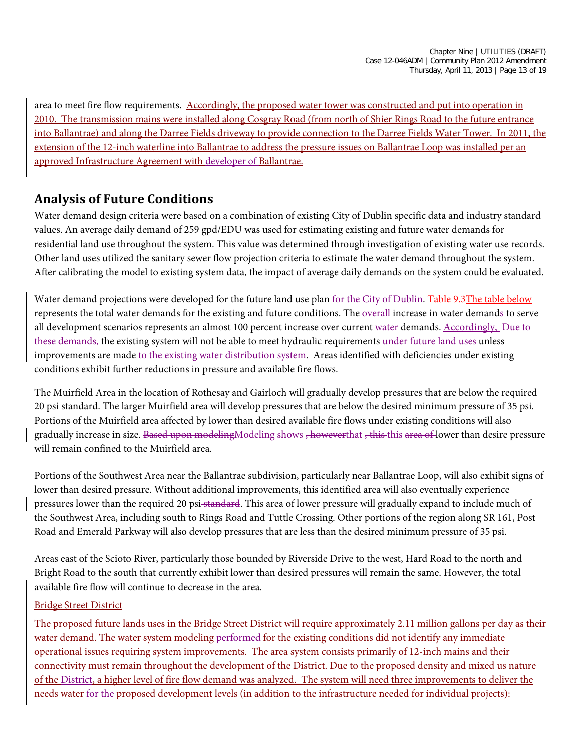area to meet fire flow requirements. - Accordingly, the proposed water tower was constructed and put into operation in 2010. The transmission mains were installed along Cosgray Road (from north of Shier Rings Road to the future entrance into Ballantrae) and along the Darree Fields driveway to provide connection to the Darree Fields Water Tower. In 2011, the extension of the 12-inch waterline into Ballantrae to address the pressure issues on Ballantrae Loop was installed per an approved Infrastructure Agreement with developer of Ballantrae.

#### **Analysis of Future Conditions**

Water demand design criteria were based on a combination of existing City of Dublin specific data and industry standard values. An average daily demand of 259 gpd/EDU was used for estimating existing and future water demands for residential land use throughout the system. This value was determined through investigation of existing water use records. Other land uses utilized the sanitary sewer flow projection criteria to estimate the water demand throughout the system. After calibrating the model to existing system data, the impact of average daily demands on the system could be evaluated.

Water demand projections were developed for the future land use plan-for the City of Dublin. Table 9.3The table below represents the total water demands for the existing and future conditions. The overall increase in water demands to serve all development scenarios represents an almost 100 percent increase over current water-demands. Accordingly, -Due to these demands, the existing system will not be able to meet hydraulic requirements under future land uses unless improvements are made to the existing water distribution system. - Areas identified with deficiencies under existing conditions exhibit further reductions in pressure and available fire flows.

The Muirfield Area in the location of Rothesay and Gairloch will gradually develop pressures that are below the required 20 psi standard. The larger Muirfield area will develop pressures that are below the desired minimum pressure of 35 psi. Portions of the Muirfield area affected by lower than desired available fire flows under existing conditions will also gradually increase in size. Based upon modelingModeling shows, howeverthat, this this area of lower than desire pressure will remain confined to the Muirfield area.

Portions of the Southwest Area near the Ballantrae subdivision, particularly near Ballantrae Loop, will also exhibit signs of lower than desired pressure. Without additional improvements, this identified area will also eventually experience pressures lower than the required 20 psi standard. This area of lower pressure will gradually expand to include much of the Southwest Area, including south to Rings Road and Tuttle Crossing. Other portions of the region along SR 161, Post Road and Emerald Parkway will also develop pressures that are less than the desired minimum pressure of 35 psi.

Areas east of the Scioto River, particularly those bounded by Riverside Drive to the west, Hard Road to the north and Bright Road to the south that currently exhibit lower than desired pressures will remain the same. However, the total available fire flow will continue to decrease in the area.

#### Bridge Street District

The proposed future lands uses in the Bridge Street District will require approximately 2.11 million gallons per day as their water demand. The water system modeling performed for the existing conditions did not identify any immediate operational issues requiring system improvements. The area system consists primarily of 12-inch mains and their connectivity must remain throughout the development of the District. Due to the proposed density and mixed us nature of the District, a higher level of fire flow demand was analyzed. The system will need three improvements to deliver the needs water for the proposed development levels (in addition to the infrastructure needed for individual projects):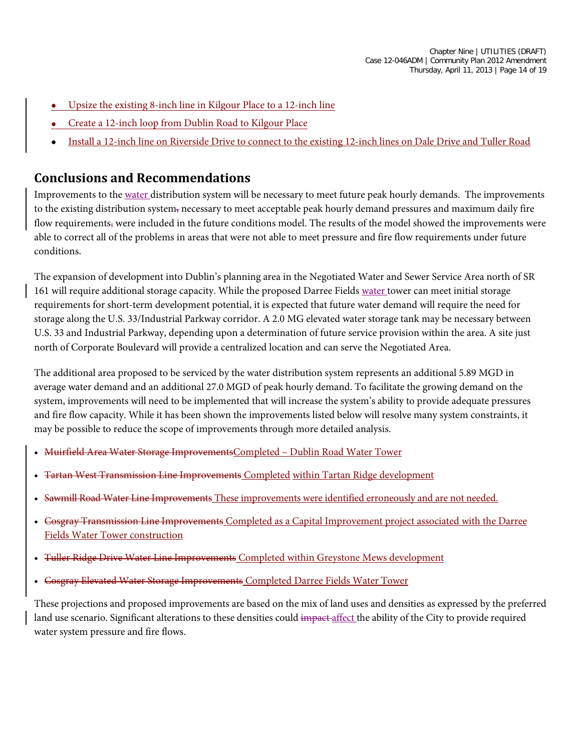- Upsize the existing 8-inch line in Kilgour Place to a 12-inch line
- Create a 12-inch loop from Dublin Road to Kilgour Place
- Install a 12-inch line on Riverside Drive to connect to the existing 12-inch lines on Dale Drive and Tuller Road

#### **Conclusions and Recommendations**

Improvements to the water distribution system will be necessary to meet future peak hourly demands. The improvements to the existing distribution system, necessary to meet acceptable peak hourly demand pressures and maximum daily fire flow requirements, were included in the future conditions model. The results of the model showed the improvements were able to correct all of the problems in areas that were not able to meet pressure and fire flow requirements under future conditions.

The expansion of development into Dublin's planning area in the Negotiated Water and Sewer Service Area north of SR 161 will require additional storage capacity. While the proposed Darree Fields water tower can meet initial storage requirements for short-term development potential, it is expected that future water demand will require the need for storage along the U.S. 33/Industrial Parkway corridor. A 2.0 MG elevated water storage tank may be necessary between U.S. 33 and Industrial Parkway, depending upon a determination of future service provision within the area. A site just north of Corporate Boulevard will provide a centralized location and can serve the Negotiated Area.

The additional area proposed to be serviced by the water distribution system represents an additional 5.89 MGD in average water demand and an additional 27.0 MGD of peak hourly demand. To facilitate the growing demand on the system, improvements will need to be implemented that will increase the system's ability to provide adequate pressures and fire flow capacity. While it has been shown the improvements listed below will resolve many system constraints, it may be possible to reduce the scope of improvements through more detailed analysis.

- Muirfield Area Water Storage ImprovementsCompleted Dublin Road Water Tower
- Tartan West Transmission Line Improvements Completed within Tartan Ridge development
- Sawmill Road Water Line Improvements These improvements were identified erroneously and are not needed.
- Cosgray Transmission Line Improvements Completed as a Capital Improvement project associated with the Darree Fields Water Tower construction
- Tuller Ridge Drive Water Line Improvements Completed within Greystone Mews development
- Cosgray Elevated Water Storage Improvements Completed Darree Fields Water Tower

These projections and proposed improvements are based on the mix of land uses and densities as expressed by the preferred land use scenario. Significant alterations to these densities could impact affect the ability of the City to provide required water system pressure and fire flows.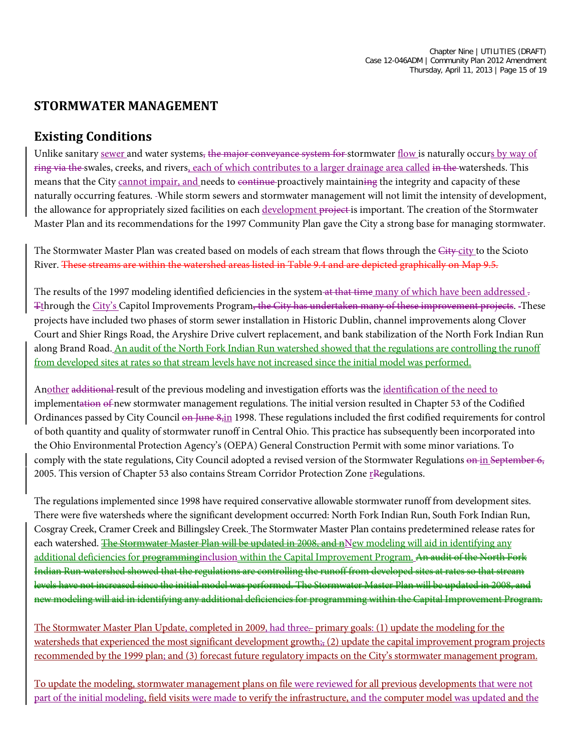#### **STORMWATER MANAGEMENT**

#### **Existing Conditions**

Unlike sanitary sewer and water systems, the major conveyance system for stormwater flow is naturally occurs by way of ring via the swales, creeks, and rivers, each of which contributes to a larger drainage area called in the watersheds. This means that the City cannot impair, and needs to continue proactively maintaining the integrity and capacity of these naturally occurring features. While storm sewers and stormwater management will not limit the intensity of development, the allowance for appropriately sized facilities on each development project is important. The creation of the Stormwater Master Plan and its recommendations for the 1997 Community Plan gave the City a strong base for managing stormwater.

The Stormwater Master Plan was created based on models of each stream that flows through the City-city to the Scioto River. These streams are within the watershed areas listed in Table 9.4 and are depicted graphically on Map 9.5.

The results of the 1997 modeling identified deficiencies in the system at that time many of which have been addressed . Tthrough the City's Capitol Improvements Program, the City has undertaken many of these improvement projects. These projects have included two phases of storm sewer installation in Historic Dublin, channel improvements along Clover Court and Shier Rings Road, the Aryshire Drive culvert replacement, and bank stabilization of the North Fork Indian Run along Brand Road. An audit of the North Fork Indian Run watershed showed that the regulations are controlling the runoff from developed sites at rates so that stream levels have not increased since the initial model was performed.

Another additional result of the previous modeling and investigation efforts was the identification of the need to implementation of new stormwater management regulations. The initial version resulted in Chapter 53 of the Codified Ordinances passed by City Council on June 8,in 1998. These regulations included the first codified requirements for control of both quantity and quality of stormwater runoff in Central Ohio. This practice has subsequently been incorporated into the Ohio Environmental Protection Agency's (OEPA) General Construction Permit with some minor variations. To comply with the state regulations, City Council adopted a revised version of the Stormwater Regulations on in September 6, 2005. This version of Chapter 53 also contains Stream Corridor Protection Zone  $r$ Regulations.

The regulations implemented since 1998 have required conservative allowable stormwater runoff from development sites. There were five watersheds where the significant development occurred: North Fork Indian Run, South Fork Indian Run, Cosgray Creek, Cramer Creek and Billingsley Creek. The Stormwater Master Plan contains predetermined release rates for each watershed. <del>The Stormwater Master Plan will be updated in 2008, and n</del>New modeling will aid in identifying any additional deficiencies for programminginclusion within the Capital Improvement Program. An audit of the North Fork Indian Run watershed showed that the regulations are controlling the runoff from developed sites at rates so that stream levels have not increased since the initial model was performed. The Stormwater Master Plan will be updated in 2008, and new modeling will aid in identifying any additional deficiencies for programming within the Capital Improvement Program.

The Stormwater Master Plan Update, completed in 2009, had three. primary goals: (1) update the modeling for the watersheds that experienced the most significant development growth; (2) update the capital improvement program projects recommended by the 1999 plan; and (3) forecast future regulatory impacts on the City's stormwater management program.

To update the modeling, stormwater management plans on file were reviewed for all previous developments that were not part of the initial modeling, field visits were made to verify the infrastructure, and the computer model was updated and the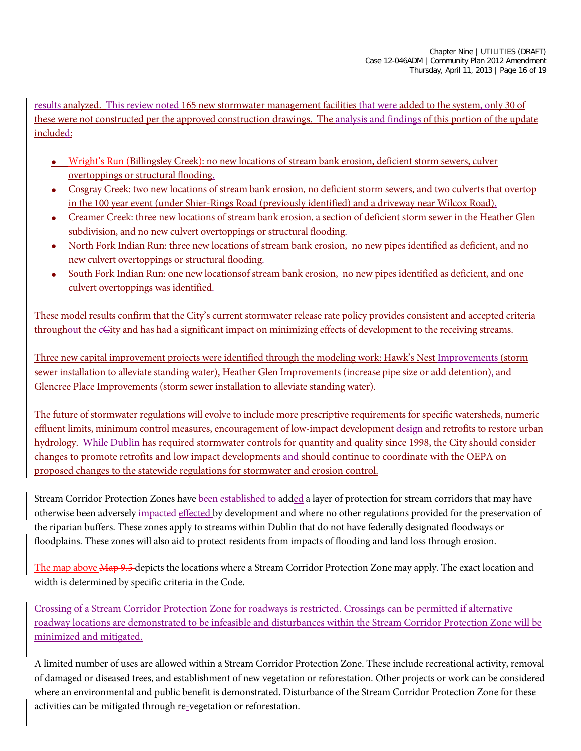results analyzed. This review noted 165 new stormwater management facilities that were added to the system, only 30 of these were not constructed per the approved construction drawings. The analysis and findings of this portion of the update included:

- Wright's Run (Billingsley Creek): no new locations of stream bank erosion, deficient storm sewers, culver overtoppings or structural flooding.
- Cosgray Creek: two new locations of stream bank erosion, no deficient storm sewers, and two culverts that overtop in the 100 year event (under Shier-Rings Road (previously identified) and a driveway near Wilcox Road).
- Creamer Creek: three new locations of stream bank erosion, a section of deficient storm sewer in the Heather Glen subdivision, and no new culvert overtoppings or structural flooding.
- North Fork Indian Run: three new locations of stream bank erosion, no new pipes identified as deficient, and no new culvert overtoppings or structural flooding.
- South Fork Indian Run: one new locationsof stream bank erosion, no new pipes identified as deficient, and one culvert overtoppings was identified.

These model results confirm that the City's current stormwater release rate policy provides consistent and accepted criteria throughout the cGity and has had a significant impact on minimizing effects of development to the receiving streams.

Three new capital improvement projects were identified through the modeling work: Hawk's Nest Improvements (storm sewer installation to alleviate standing water), Heather Glen Improvements (increase pipe size or add detention), and Glencree Place Improvements (storm sewer installation to alleviate standing water).

The future of stormwater regulations will evolve to include more prescriptive requirements for specific watersheds, numeric effluent limits, minimum control measures, encouragement of low-impact development design and retrofits to restore urban hydrology. While Dublin has required stormwater controls for quantity and quality since 1998, the City should consider changes to promote retrofits and low impact developments and should continue to coordinate with the OEPA on proposed changes to the statewide regulations for stormwater and erosion control.

Stream Corridor Protection Zones have been established to added a layer of protection for stream corridors that may have otherwise been adversely impacted effected by development and where no other regulations provided for the preservation of the riparian buffers. These zones apply to streams within Dublin that do not have federally designated floodways or floodplains. These zones will also aid to protect residents from impacts of flooding and land loss through erosion.

The map above Map 9.5 depicts the locations where a Stream Corridor Protection Zone may apply. The exact location and width is determined by specific criteria in the Code.

Crossing of a Stream Corridor Protection Zone for roadways is restricted. Crossings can be permitted if alternative roadway locations are demonstrated to be infeasible and disturbances within the Stream Corridor Protection Zone will be minimized and mitigated.

A limited number of uses are allowed within a Stream Corridor Protection Zone. These include recreational activity, removal of damaged or diseased trees, and establishment of new vegetation or reforestation. Other projects or work can be considered where an environmental and public benefit is demonstrated. Disturbance of the Stream Corridor Protection Zone for these activities can be mitigated through re-vegetation or reforestation.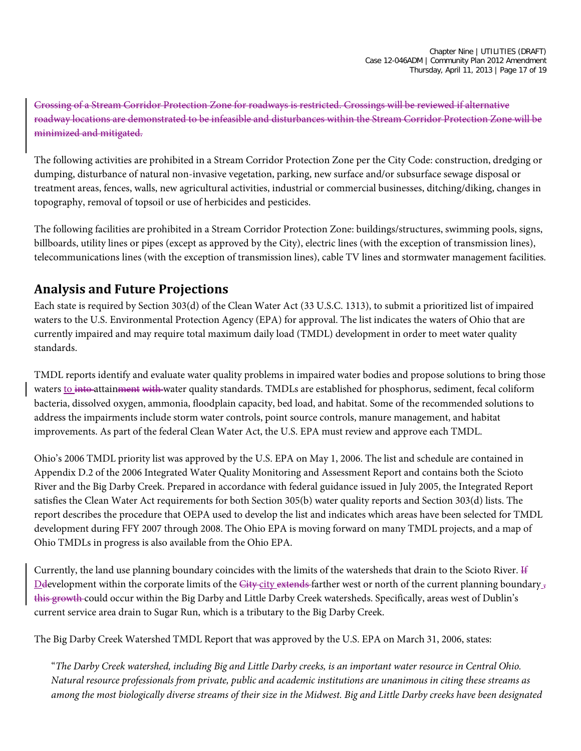Crossing of a Stream Corridor Protection Zone for roadways is restricted. Crossings will be reviewed if alternative roadway locations are demonstrated to be infeasible and disturbances within the Stream Corridor Protection Zone will be minimized and mitigated.

The following activities are prohibited in a Stream Corridor Protection Zone per the City Code: construction, dredging or dumping, disturbance of natural non-invasive vegetation, parking, new surface and/or subsurface sewage disposal or treatment areas, fences, walls, new agricultural activities, industrial or commercial businesses, ditching/diking, changes in topography, removal of topsoil or use of herbicides and pesticides.

The following facilities are prohibited in a Stream Corridor Protection Zone: buildings/structures, swimming pools, signs, billboards, utility lines or pipes (except as approved by the City), electric lines (with the exception of transmission lines), telecommunications lines (with the exception of transmission lines), cable TV lines and stormwater management facilities.

#### **Analysis and Future Projections**

Each state is required by Section 303(d) of the Clean Water Act (33 U.S.C. 1313), to submit a prioritized list of impaired waters to the U.S. Environmental Protection Agency (EPA) for approval. The list indicates the waters of Ohio that are currently impaired and may require total maximum daily load (TMDL) development in order to meet water quality standards.

TMDL reports identify and evaluate water quality problems in impaired water bodies and propose solutions to bring those waters to into attainment with water quality standards. TMDLs are established for phosphorus, sediment, fecal coliform bacteria, dissolved oxygen, ammonia, floodplain capacity, bed load, and habitat. Some of the recommended solutions to address the impairments include storm water controls, point source controls, manure management, and habitat improvements. As part of the federal Clean Water Act, the U.S. EPA must review and approve each TMDL.

Ohio's 2006 TMDL priority list was approved by the U.S. EPA on May 1, 2006. The list and schedule are contained in Appendix D.2 of the 2006 Integrated Water Quality Monitoring and Assessment Report and contains both the Scioto River and the Big Darby Creek. Prepared in accordance with federal guidance issued in July 2005, the Integrated Report satisfies the Clean Water Act requirements for both Section 305(b) water quality reports and Section 303(d) lists. The report describes the procedure that OEPA used to develop the list and indicates which areas have been selected for TMDL development during FFY 2007 through 2008. The Ohio EPA is moving forward on many TMDL projects, and a map of Ohio TMDLs in progress is also available from the Ohio EPA.

Currently, the land use planning boundary coincides with the limits of the watersheds that drain to the Scioto River. If Development within the corporate limits of the City-city extends farther west or north of the current planning boundary  $\bar{J}$ this growth could occur within the Big Darby and Little Darby Creek watersheds. Specifically, areas west of Dublin's current service area drain to Sugar Run, which is a tributary to the Big Darby Creek.

The Big Darby Creek Watershed TMDL Report that was approved by the U.S. EPA on March 31, 2006, states:

"*The Darby Creek watershed, including Big and Little Darby creeks, is an important water resource in Central Ohio. Natural resource professionals from private, public and academic institutions are unanimous in citing these streams as among the most biologically diverse streams of their size in the Midwest. Big and Little Darby creeks have been designated*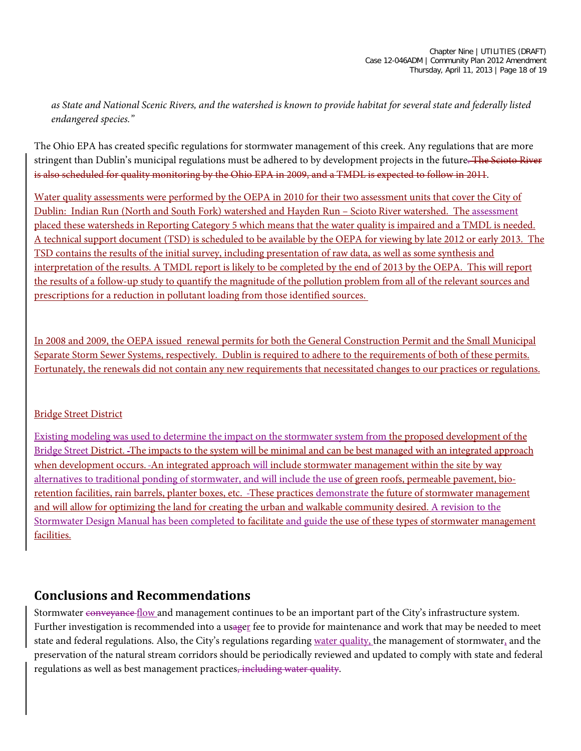*as State and National Scenic Rivers, and the watershed is known to provide habitat for several state and federally listed endangered species."*

The Ohio EPA has created specific regulations for stormwater management of this creek. Any regulations that are more stringent than Dublin's municipal regulations must be adhered to by development projects in the future. The Scioto River is also scheduled for quality monitoring by the Ohio EPA in 2009, and a TMDL is expected to follow in 2011.

Water quality assessments were performed by the OEPA in 2010 for their two assessment units that cover the City of Dublin: Indian Run (North and South Fork) watershed and Hayden Run – Scioto River watershed. The assessment placed these watersheds in Reporting Category 5 which means that the water quality is impaired and a TMDL is needed. A technical support document (TSD) is scheduled to be available by the OEPA for viewing by late 2012 or early 2013. The TSD contains the results of the initial survey, including presentation of raw data, as well as some synthesis and interpretation of the results. A TMDL report is likely to be completed by the end of 2013 by the OEPA. This will report the results of a follow-up study to quantify the magnitude of the pollution problem from all of the relevant sources and prescriptions for a reduction in pollutant loading from those identified sources.

In 2008 and 2009, the OEPA issued renewal permits for both the General Construction Permit and the Small Municipal Separate Storm Sewer Systems, respectively. Dublin is required to adhere to the requirements of both of these permits. Fortunately, the renewals did not contain any new requirements that necessitated changes to our practices or regulations.

#### Bridge Street District

Existing modeling was used to determine the impact on the stormwater system from the proposed development of the Bridge Street District. The impacts to the system will be minimal and can be best managed with an integrated approach when development occurs. An integrated approach will include stormwater management within the site by way alternatives to traditional ponding of stormwater, and will include the use of green roofs, permeable pavement, bioretention facilities, rain barrels, planter boxes, etc. These practices demonstrate the future of stormwater management and will allow for optimizing the land for creating the urban and walkable community desired. A revision to the Stormwater Design Manual has been completed to facilitate and guide the use of these types of stormwater management facilities.

#### **Conclusions and Recommendations**

Stormwater conveyance flow and management continues to be an important part of the City's infrastructure system. Further investigation is recommended into a usager fee to provide for maintenance and work that may be needed to meet state and federal regulations. Also, the City's regulations regarding water quality, the management of stormwater, and the preservation of the natural stream corridors should be periodically reviewed and updated to comply with state and federal regulations as well as best management practices, including water quality.